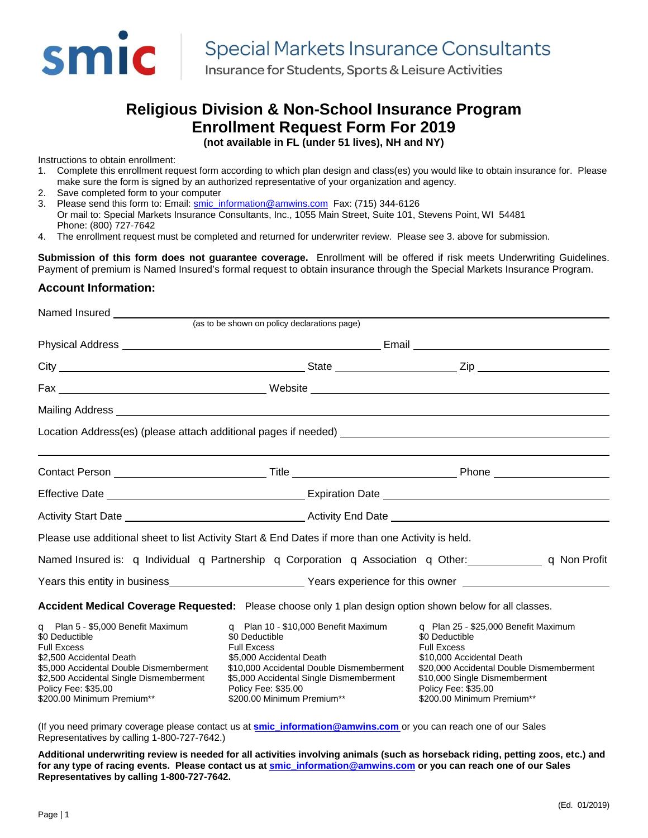

Insurance for Students, Sports & Leisure Activities

# **Religious Division & Non-School Insurance Program Enrollment Request Form For 2019**

**(not available in FL (under 51 lives), NH and NY)**

Instructions to obtain enrollment:

- 1. Complete this enrollment request form according to which plan design and class(es) you would like to obtain insurance for. Please make sure the form is signed by an authorized representative of your organization and agency.
- 2. Save completed form to your computer
- 3. Please send this form to: Email: [smic\\_information@amwins.com](mailto:smic_information@amwins.com) Fax: (715) 344-6126
- Or mail to: Special Markets Insurance Consultants, Inc., 1055 Main Street, Suite 101, Stevens Point, WI 54481 Phone: (800) 727-7642
- 4. The enrollment request must be completed and returned for underwriter review. Please see 3. above for submission.

**Submission of this form does not guarantee coverage.** Enrollment will be offered if risk meets Underwriting Guidelines. Payment of premium is Named Insured's formal request to obtain insurance through the Special Markets Insurance Program.

#### **Account Information:**

| Named Insured                                                                                                                                                                                                                                            |                                                                                                                                                                                                                                                           |                                                                                                                                                                                                                                                    |  |
|----------------------------------------------------------------------------------------------------------------------------------------------------------------------------------------------------------------------------------------------------------|-----------------------------------------------------------------------------------------------------------------------------------------------------------------------------------------------------------------------------------------------------------|----------------------------------------------------------------------------------------------------------------------------------------------------------------------------------------------------------------------------------------------------|--|
|                                                                                                                                                                                                                                                          | (as to be shown on policy declarations page)                                                                                                                                                                                                              |                                                                                                                                                                                                                                                    |  |
|                                                                                                                                                                                                                                                          |                                                                                                                                                                                                                                                           |                                                                                                                                                                                                                                                    |  |
|                                                                                                                                                                                                                                                          |                                                                                                                                                                                                                                                           |                                                                                                                                                                                                                                                    |  |
|                                                                                                                                                                                                                                                          |                                                                                                                                                                                                                                                           |                                                                                                                                                                                                                                                    |  |
|                                                                                                                                                                                                                                                          |                                                                                                                                                                                                                                                           |                                                                                                                                                                                                                                                    |  |
|                                                                                                                                                                                                                                                          |                                                                                                                                                                                                                                                           |                                                                                                                                                                                                                                                    |  |
|                                                                                                                                                                                                                                                          |                                                                                                                                                                                                                                                           |                                                                                                                                                                                                                                                    |  |
|                                                                                                                                                                                                                                                          |                                                                                                                                                                                                                                                           |                                                                                                                                                                                                                                                    |  |
|                                                                                                                                                                                                                                                          |                                                                                                                                                                                                                                                           |                                                                                                                                                                                                                                                    |  |
|                                                                                                                                                                                                                                                          | Please use additional sheet to list Activity Start & End Dates if more than one Activity is held.                                                                                                                                                         |                                                                                                                                                                                                                                                    |  |
|                                                                                                                                                                                                                                                          |                                                                                                                                                                                                                                                           | Named Insured is: $\sigma$ Individual $\sigma$ Partnership $\sigma$ Corporation $\sigma$ Association $\sigma$ Other: $\sigma$ Other $\sigma$ Non Profit                                                                                            |  |
|                                                                                                                                                                                                                                                          |                                                                                                                                                                                                                                                           | Years this entity in business <b>Exercise 2 and Service 2 and Service 2 and Service 2 and Service 2 and Service 2</b>                                                                                                                              |  |
|                                                                                                                                                                                                                                                          | Accident Medical Coverage Requested: Please choose only 1 plan design option shown below for all classes.                                                                                                                                                 |                                                                                                                                                                                                                                                    |  |
| <b>q</b> Plan 5 - \$5,000 Benefit Maximum<br>\$0 Deductible<br><b>Full Excess</b><br>\$2,500 Accidental Death<br>\$5,000 Accidental Double Dismemberment<br>\$2,500 Accidental Single Dismemberment<br>Policy Fee: \$35.00<br>\$200.00 Minimum Premium** | $\Box$ Plan 10 - \$10,000 Benefit Maximum<br>\$0 Deductible<br><b>Full Excess</b><br>\$5,000 Accidental Death<br>\$10,000 Accidental Double Dismemberment<br>\$5,000 Accidental Single Dismemberment<br>Policy Fee: \$35.00<br>\$200.00 Minimum Premium** | $\sigma$ Plan 25 - \$25,000 Benefit Maximum<br>\$0 Deductible<br><b>Full Excess</b><br>\$10,000 Accidental Death<br>\$20,000 Accidental Double Dismemberment<br>\$10,000 Single Dismemberment<br>Policy Fee: \$35.00<br>\$200.00 Minimum Premium** |  |

(If you need primary coverage please contact us at **[smic\\_information@amwins.com](mailto:smic_information@amwins.com)** or you can reach one of our Sales Representatives by calling 1-800-727-7642.)

**Additional underwriting review is needed for all activities involving animals (such as horseback riding, petting zoos, etc.) and for any type of racing events. Please contact us at [smic\\_information@amwins.com](mailto:smic_information@amwins.com) or you can reach one of our Sales Representatives by calling 1-800-727-7642.**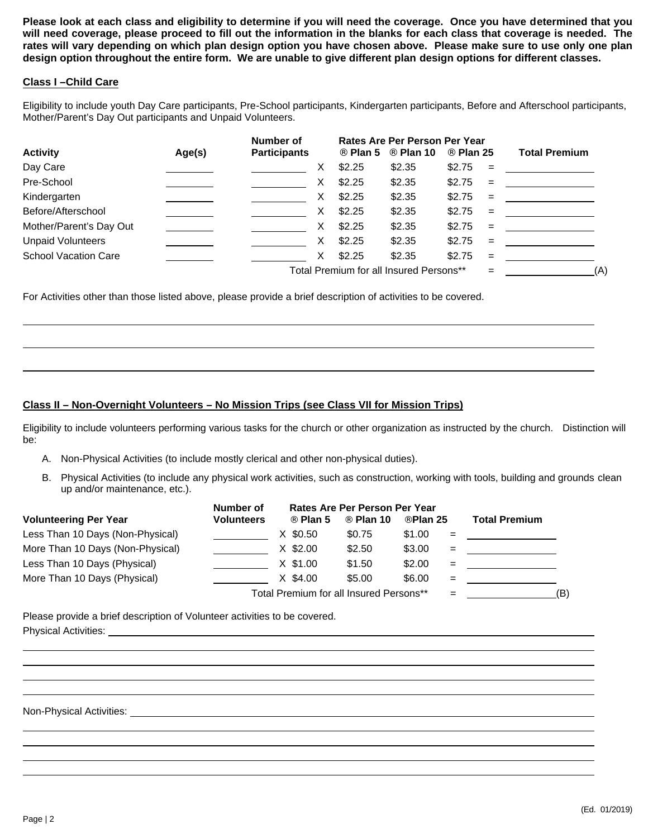**Please look at each class and eligibility to determine if you will need the coverage. Once you have determined that you will need coverage, please proceed to fill out the information in the blanks for each class that coverage is needed. The rates will vary depending on which plan design option you have chosen above. Please make sure to use only one plan design option throughout the entire form. We are unable to give different plan design options for different classes.**

#### **Class I –Child Care**

Eligibility to include youth Day Care participants, Pre-School participants, Kindergarten participants, Before and Afterschool participants, Mother/Parent's Day Out participants and Unpaid Volunteers.

|                             |        | Number of           |        | Rates Are Per Person Per Year           |         |     |                                              |
|-----------------------------|--------|---------------------|--------|-----------------------------------------|---------|-----|----------------------------------------------|
| <b>Activity</b>             | Age(s) | <b>Participants</b> | Plan 5 | Plan 10                                 | Plan 25 |     | <b>Total Premium</b>                         |
| Day Care                    |        | X                   | \$2.25 | \$2.35                                  | \$2.75  | $=$ | the control of the control of the control of |
| Pre-School                  |        | X                   | \$2.25 | \$2.35                                  | \$2.75  | $=$ |                                              |
| Kindergarten                |        | X                   | \$2.25 | \$2.35                                  | \$2.75  | $=$ |                                              |
| Before/Afterschool          |        | X                   | \$2.25 | \$2.35                                  | \$2.75  | $=$ |                                              |
| Mother/Parent's Day Out     |        | X.                  | \$2.25 | \$2.35                                  | \$2.75  | $=$ |                                              |
| <b>Unpaid Volunteers</b>    |        | X                   | \$2.25 | \$2.35                                  | \$2.75  | $=$ |                                              |
| <b>School Vacation Care</b> |        | X.                  | \$2.25 | \$2.35                                  | \$2.75  | $=$ |                                              |
|                             |        |                     |        | Total Premium for all Insured Persons** |         | =   | (A)                                          |

For Activities other than those listed above, please provide a brief description of activities to be covered.

### **Class II – Non-Overnight Volunteers – No Mission Trips (see Class VII for Mission Trips)**

Eligibility to include volunteers performing various tasks for the church or other organization as instructed by the church. Distinction will be:

- A. Non-Physical Activities (to include mostly clerical and other non-physical duties).
- B. Physical Activities (to include any physical work activities, such as construction, working with tools, building and grounds clean up and/or maintenance, etc.).

|                                  | Number of         |                                         | Rates Are Per Person Per Year |         |     |                      |     |
|----------------------------------|-------------------|-----------------------------------------|-------------------------------|---------|-----|----------------------|-----|
| <b>Volunteering Per Year</b>     | <b>Volunteers</b> | Plan 5                                  | Plan 10                       | Plan 25 |     | <b>Total Premium</b> |     |
| Less Than 10 Days (Non-Physical) |                   | $X$ \$0.50                              | \$0.75                        | \$1.00  | $=$ |                      |     |
| More Than 10 Days (Non-Physical) |                   | $X$ \$2.00                              | \$2.50                        | \$3.00  | $=$ |                      |     |
| Less Than 10 Days (Physical)     |                   | $X$ \$1.00                              | \$1.50                        | \$2.00  | $=$ |                      |     |
| More Than 10 Days (Physical)     |                   | $X$ \$4.00                              | \$5.00                        | \$6.00  | $=$ |                      |     |
|                                  |                   | Total Premium for all Insured Persons** |                               |         | $=$ |                      | (B) |

Please provide a brief description of Volunteer activities to be covered. Physical Activities:

Non-Physical Activities: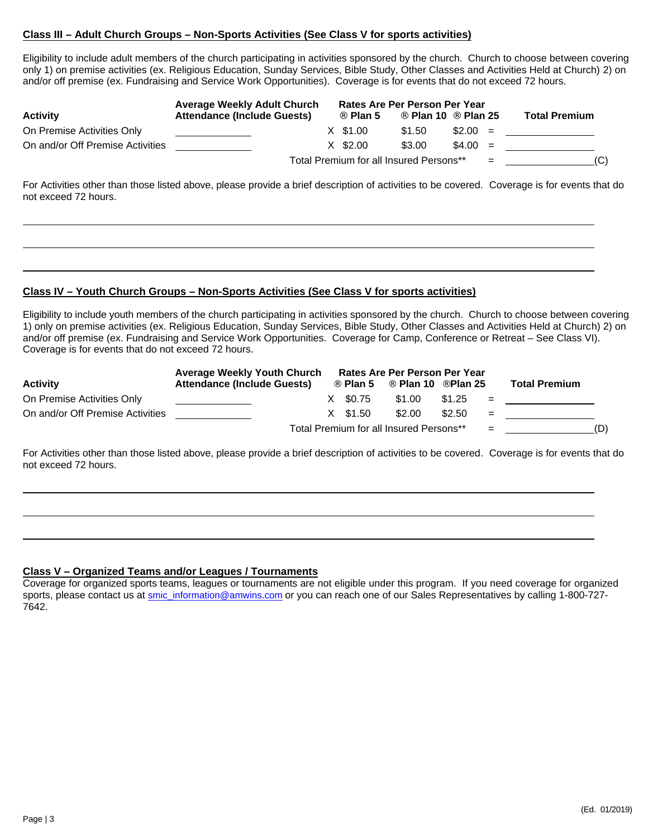#### **Class III – Adult Church Groups – Non-Sports Activities (See Class V for sports activities)**

Eligibility to include adult members of the church participating in activities sponsored by the church. Church to choose between covering only 1) on premise activities (ex. Religious Education, Sunday Services, Bible Study, Other Classes and Activities Held at Church) 2) on and/or off premise (ex. Fundraising and Service Work Opportunities). Coverage is for events that do not exceed 72 hours.

|                                  | <b>Average Weekly Adult Church</b> |                                         | Rates Are Per Person Per Year |           |     |                      |
|----------------------------------|------------------------------------|-----------------------------------------|-------------------------------|-----------|-----|----------------------|
| <b>Activity</b>                  | <b>Attendance (Include Guests)</b> | Plan 5                                  | Plan 10                       | Plan 25   |     | <b>Total Premium</b> |
| On Premise Activities Only       |                                    | X \$1.00                                | \$1.50                        | $$2.00 =$ |     |                      |
| On and/or Off Premise Activities |                                    | $X$ \$2.00                              | \$3.00                        | $$4.00 =$ |     |                      |
|                                  |                                    | Total Premium for all Insured Persons** |                               |           | $=$ | (C)                  |

For Activities other than those listed above, please provide a brief description of activities to be covered. Coverage is for events that do not exceed 72 hours.

#### **Class IV – Youth Church Groups – Non-Sports Activities (See Class V for sports activities)**

Eligibility to include youth members of the church participating in activities sponsored by the church. Church to choose between covering 1) only on premise activities (ex. Religious Education, Sunday Services, Bible Study, Other Classes and Activities Held at Church) 2) on and/or off premise (ex. Fundraising and Service Work Opportunities. Coverage for Camp, Conference or Retreat – See Class VI). Coverage is for events that do not exceed 72 hours.

|                                  | <b>Average Weekly Youth Church</b> |            | Rates Are Per Person Per Year           |         |     |                      |     |
|----------------------------------|------------------------------------|------------|-----------------------------------------|---------|-----|----------------------|-----|
| <b>Activity</b>                  | <b>Attendance (Include Guests)</b> | Plan 5     | Plan 10                                 | Plan 25 |     | <b>Total Premium</b> |     |
| On Premise Activities Only       |                                    | X \$0.75   | \$1.00                                  | \$1.25  | $=$ |                      |     |
| On and/or Off Premise Activities |                                    | $X$ \$1.50 | \$2.00                                  | \$2.50  | $=$ |                      |     |
|                                  |                                    |            | Total Premium for all Insured Persons** |         | $=$ |                      | (D) |

For Activities other than those listed above, please provide a brief description of activities to be covered. Coverage is for events that do not exceed 72 hours.

#### **Class V – Organized Teams and/or Leagues / Tournaments**

Coverage for organized sports teams, leagues or tournaments are not eligible under this program. If you need coverage for organized sports, please contact us at [smic\\_information@amwins.com](mailto:smic_information@amwins.com) or you can reach one of our Sales Representatives by calling 1-800-727-7642.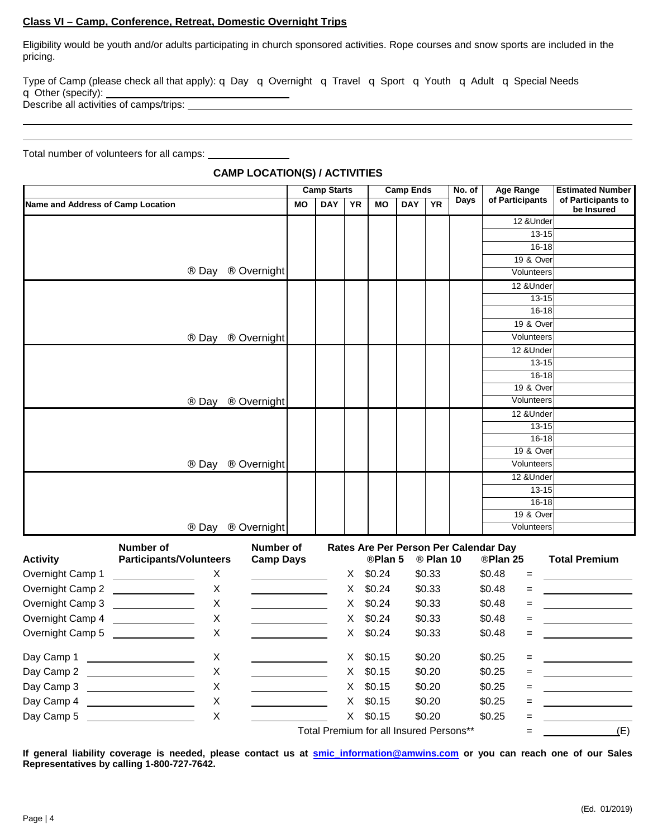#### **Class VI – Camp, Conference, Retreat, Domestic Overnight Trips**

Eligibility would be youth and/or adults participating in church sponsored activities. Rope courses and snow sports are included in the pricing.

Type of Camp (please check all that apply): q Day q Overnight q Travel q Sport q Youth q Adult q Special Needs q Other (specify): Describe all activities of camps/trips:

Total number of volunteers for all camps:

|                                   |                                                                                                                                |                  |           | <b>Camp Starts</b> |           |           | <b>Camp Ends</b> |                   | No. of      | <b>Age Range</b>                      | <b>Estimated Number</b>          |
|-----------------------------------|--------------------------------------------------------------------------------------------------------------------------------|------------------|-----------|--------------------|-----------|-----------|------------------|-------------------|-------------|---------------------------------------|----------------------------------|
| Name and Address of Camp Location |                                                                                                                                |                  | <b>MO</b> | <b>DAY</b>         | <b>YR</b> | <b>MO</b> | <b>DAY</b>       | <b>YR</b>         | <b>Days</b> | of Participants                       | of Participants to<br>be Insured |
|                                   |                                                                                                                                |                  |           |                    |           |           |                  |                   |             | 12 &Under                             |                                  |
|                                   |                                                                                                                                |                  |           |                    |           |           |                  |                   |             | $13 - 15$                             |                                  |
|                                   |                                                                                                                                |                  |           |                    |           |           |                  |                   |             | $16 - 18$                             |                                  |
|                                   |                                                                                                                                |                  |           |                    |           |           |                  |                   |             | 19 & Over                             |                                  |
|                                   | Day                                                                                                                            | Overnight        |           |                    |           |           |                  |                   |             | Volunteers                            |                                  |
|                                   |                                                                                                                                |                  |           |                    |           |           |                  |                   |             | 12 & Under                            |                                  |
|                                   |                                                                                                                                |                  |           |                    |           |           |                  |                   |             | $13 - 15$                             |                                  |
|                                   |                                                                                                                                |                  |           |                    |           |           |                  |                   |             | $16 - 18$<br>19 & Over                |                                  |
|                                   |                                                                                                                                |                  |           |                    |           |           |                  |                   |             | Volunteers                            |                                  |
|                                   | Day                                                                                                                            | Overnight        |           |                    |           |           |                  |                   |             | 12 & Under                            |                                  |
|                                   |                                                                                                                                |                  |           |                    |           |           |                  |                   |             | $13 - 15$                             |                                  |
|                                   |                                                                                                                                |                  |           |                    |           |           |                  |                   |             | $16 - 18$                             |                                  |
|                                   |                                                                                                                                |                  |           |                    |           |           |                  |                   |             | 19 & Over                             |                                  |
|                                   | Day                                                                                                                            | Overnight        |           |                    |           |           |                  |                   |             | Volunteers                            |                                  |
|                                   |                                                                                                                                |                  |           |                    |           |           |                  |                   |             | 12 & Under                            |                                  |
|                                   |                                                                                                                                |                  |           |                    |           |           |                  |                   |             | $13 - 15$                             |                                  |
|                                   |                                                                                                                                |                  |           |                    |           |           |                  |                   |             | $16 - 18$                             |                                  |
|                                   | $\cdot$ .                                                                                                                      |                  |           |                    |           |           |                  |                   |             | 19 & Over                             |                                  |
|                                   | Day                                                                                                                            | Overnight        |           |                    |           |           |                  |                   |             | Volunteers                            |                                  |
|                                   |                                                                                                                                |                  |           |                    |           |           |                  |                   |             | 12 & Under<br>$13 - 15$               |                                  |
|                                   |                                                                                                                                |                  |           |                    |           |           |                  |                   |             | $16 - 18$                             |                                  |
|                                   |                                                                                                                                |                  |           |                    |           |           |                  |                   |             | 19 & Over                             |                                  |
|                                   | Day                                                                                                                            | Overnight        |           |                    |           |           |                  |                   |             | Volunteers                            |                                  |
|                                   | Number of                                                                                                                      | Number of        |           |                    |           |           |                  |                   |             | Rates Are Per Person Per Calendar Day |                                  |
| <b>Activity</b>                   | <b>Participants/Volunteers</b>                                                                                                 | <b>Camp Days</b> |           |                    |           | Plan 5    |                  | $\degree$ Plan 10 |             | Plan 25                               | <b>Total Premium</b>             |
| Overnight Camp 1                  | X<br><u> Liston de la construcción de la construcción de la construcción de la construcción de la construcción de la c</u>     |                  |           |                    | X         | \$0.24    |                  | \$0.33            |             | \$0.48<br>$=$                         |                                  |
| Overnight Camp 2                  | X<br><u> Listen van die Stad van die Stad van die Stad van die Stad van die Stad van die Stad van die Stad van die Stad va</u> |                  |           |                    | X         | \$0.24    |                  | \$0.33            |             | \$0.48<br>$=$                         |                                  |
| Overnight Camp 3                  | Χ                                                                                                                              |                  |           |                    | X         | \$0.24    |                  | \$0.33            |             | \$0.48<br>$=$                         |                                  |
| Overnight Camp 4                  | $\boldsymbol{\mathsf{X}}$                                                                                                      |                  |           |                    | X         | \$0.24    |                  | \$0.33            |             | \$0.48<br>$=$                         |                                  |
| Overnight Camp 5                  | $\boldsymbol{\mathsf{X}}$                                                                                                      |                  |           |                    | X         | \$0.24    |                  | \$0.33            |             | \$0.48<br>$=$                         |                                  |
| Day Camp 1                        | X                                                                                                                              |                  |           |                    | X.        | \$0.15    |                  | \$0.20            |             | \$0.25<br>$=$                         |                                  |

#### **CAMP LOCATION(S) / ACTIVITIES**

Total Premium for all Insured Persons\*\*  $=$   $=$   $(E)$ **If general liability coverage is needed, please contact us at [smic\\_information@amwins.com](mailto:smic_information@amwins.com) or you can reach one of our Sales Representatives by calling 1-800-727-7642.**

Day Camp 2 X X \$0.15 \$0.20 \$0.25 = Day Camp 3 X X \$0.15 \$0.20 \$0.25 =  $\begin{array}{|c|c|c|c|c|c|}\n\hline\n\text{Day Camp 4} & \text{X} & \text{X} & \text{X} & \text{X} & \text{X} & \text{X} & \text{X} & \text{X} & \text{0.15} & \text{0.20} & \text{0.25} & \text{0.36} \\
\hline\n\end{array}$ Day Camp 5 X X \$0.15 \$0.20 \$0.25 =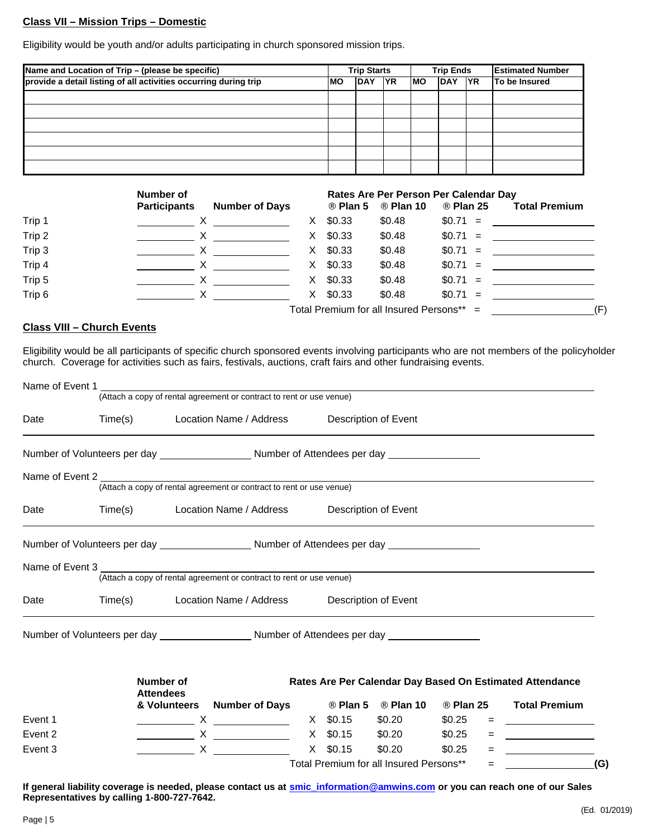#### **Class VII – Mission Trips – Domestic**

Eligibility would be youth and/or adults participating in church sponsored mission trips.

| Name and Location of Trip - (please be specific)                 |     | <b>Trip Starts</b> |            |     | <b>Trip Ends</b> | <b>Estimated Number</b> |
|------------------------------------------------------------------|-----|--------------------|------------|-----|------------------|-------------------------|
| provide a detail listing of all activities occurring during trip | lMO | <b>DAY</b>         | <b>IYR</b> | lMO | DAY YR           | <b>To be Insured</b>    |
|                                                                  |     |                    |            |     |                  |                         |
|                                                                  |     |                    |            |     |                  |                         |
|                                                                  |     |                    |            |     |                  |                         |
|                                                                  |     |                    |            |     |                  |                         |
|                                                                  |     |                    |            |     |                  |                         |
|                                                                  |     |                    |            |     |                  |                         |

|        | Number of                                                                                                                                                                                                                                                                                                                                                                                                                         |    |            | Rates Are Per Person Per Calendar Day     |           |                                   |     |
|--------|-----------------------------------------------------------------------------------------------------------------------------------------------------------------------------------------------------------------------------------------------------------------------------------------------------------------------------------------------------------------------------------------------------------------------------------|----|------------|-------------------------------------------|-----------|-----------------------------------|-----|
|        | <b>Participants</b><br><b>Number of Days</b>                                                                                                                                                                                                                                                                                                                                                                                      |    | Plan 5     | Plan 10                                   | Plan 25   | <b>Total Premium</b>              |     |
| Trip 1 | $\mathsf{X}$ and $\mathsf{X}$ and $\mathsf{X}$ are the set of $\mathsf{X}$                                                                                                                                                                                                                                                                                                                                                        | X. | \$0.33     | \$0.48                                    | $$0.71 =$ |                                   |     |
| Trip 2 |                                                                                                                                                                                                                                                                                                                                                                                                                                   | X. | \$0.33     | \$0.48                                    | $$0.71 =$ |                                   |     |
| Trip 3 | $\boldsymbol{\mathsf{X}}$ and $\boldsymbol{\mathsf{X}}$ and $\boldsymbol{\mathsf{X}}$ and $\boldsymbol{\mathsf{X}}$ and $\boldsymbol{\mathsf{X}}$ and $\boldsymbol{\mathsf{X}}$ and $\boldsymbol{\mathsf{X}}$ and $\boldsymbol{\mathsf{X}}$ and $\boldsymbol{\mathsf{X}}$ and $\boldsymbol{\mathsf{X}}$ and $\boldsymbol{\mathsf{X}}$ and $\boldsymbol{\mathsf{X}}$ and $\boldsymbol{\mathsf{X}}$ and $\boldsymbol{\mathsf{X}}$ a |    | $X$ \$0.33 | \$0.48                                    | $$0.71 =$ | <u>and the state of the state</u> |     |
| Trip 4 |                                                                                                                                                                                                                                                                                                                                                                                                                                   | X. | \$0.33     | \$0.48                                    | $$0.71 =$ |                                   |     |
| Trip 5 |                                                                                                                                                                                                                                                                                                                                                                                                                                   | X. | \$0.33     | \$0.48                                    | $$0.71 =$ |                                   |     |
| Trip 6 |                                                                                                                                                                                                                                                                                                                                                                                                                                   |    | $X$ \$0.33 | \$0.48                                    | $$0.71 =$ |                                   |     |
|        |                                                                                                                                                                                                                                                                                                                                                                                                                                   |    |            | Total Premium for all Insured Persons** = |           |                                   | (F) |

## **Class VIII – Church Events**

Eligibility would be all participants of specific church sponsored events involving participants who are not members of the policyholder church. Coverage for activities such as fairs, festivals, auctions, craft fairs and other fundraising events.

| Name of Event 1                                                                                      |         |                                                 |                                                                                                                                                                                                                                                                                                                                                                                                                                                                                 |  |            |                                         |                   |     |                                                          |
|------------------------------------------------------------------------------------------------------|---------|-------------------------------------------------|---------------------------------------------------------------------------------------------------------------------------------------------------------------------------------------------------------------------------------------------------------------------------------------------------------------------------------------------------------------------------------------------------------------------------------------------------------------------------------|--|------------|-----------------------------------------|-------------------|-----|----------------------------------------------------------|
|                                                                                                      |         |                                                 | (Attach a copy of rental agreement or contract to rent or use venue)                                                                                                                                                                                                                                                                                                                                                                                                            |  |            |                                         |                   |     |                                                          |
| Date                                                                                                 | Time(s) |                                                 | Location Name / Address                                                                                                                                                                                                                                                                                                                                                                                                                                                         |  |            | Description of Event                    |                   |     |                                                          |
|                                                                                                      |         |                                                 |                                                                                                                                                                                                                                                                                                                                                                                                                                                                                 |  |            |                                         |                   |     |                                                          |
| Name of Event 2                                                                                      |         |                                                 |                                                                                                                                                                                                                                                                                                                                                                                                                                                                                 |  |            |                                         |                   |     |                                                          |
|                                                                                                      |         |                                                 | (Attach a copy of rental agreement or contract to rent or use venue)                                                                                                                                                                                                                                                                                                                                                                                                            |  |            |                                         |                   |     |                                                          |
| Date                                                                                                 | Time(s) | Location Name / Address<br>Description of Event |                                                                                                                                                                                                                                                                                                                                                                                                                                                                                 |  |            |                                         |                   |     |                                                          |
| Number of Volunteers per day ______________________Number of Attendees per day ____________________  |         |                                                 |                                                                                                                                                                                                                                                                                                                                                                                                                                                                                 |  |            |                                         |                   |     |                                                          |
|                                                                                                      |         |                                                 | (Attach a copy of rental agreement or contract to rent or use venue)                                                                                                                                                                                                                                                                                                                                                                                                            |  |            |                                         |                   |     |                                                          |
| Date                                                                                                 | Time(s) |                                                 | Location Name / Address                                                                                                                                                                                                                                                                                                                                                                                                                                                         |  |            | Description of Event                    |                   |     |                                                          |
| Number of Volunteers per day ___________________________Number of Attendees per day ________________ |         |                                                 |                                                                                                                                                                                                                                                                                                                                                                                                                                                                                 |  |            |                                         |                   |     |                                                          |
|                                                                                                      |         | Number of<br><b>Attendees</b>                   |                                                                                                                                                                                                                                                                                                                                                                                                                                                                                 |  |            |                                         |                   |     | Rates Are Per Calendar Day Based On Estimated Attendance |
|                                                                                                      |         |                                                 | & Volunteers Number of Days Than 5                                                                                                                                                                                                                                                                                                                                                                                                                                              |  |            | $\blacksquare$ Plan 10                  | $\degree$ Plan 25 |     | <b>Total Premium</b>                                     |
| Event 1                                                                                              |         |                                                 | $X = 0.15$                                                                                                                                                                                                                                                                                                                                                                                                                                                                      |  |            | \$0.20                                  | \$0.25            |     |                                                          |
| Event 2                                                                                              |         |                                                 | $\overline{\phantom{a}}$ $\overline{\phantom{a}}$ $\overline{\phantom{a}}$ $\overline{\phantom{a}}$ $\overline{\phantom{a}}$ $\overline{\phantom{a}}$ $\overline{\phantom{a}}$ $\overline{\phantom{a}}$ $\overline{\phantom{a}}$ $\overline{\phantom{a}}$ $\overline{\phantom{a}}$ $\overline{\phantom{a}}$ $\overline{\phantom{a}}$ $\overline{\phantom{a}}$ $\overline{\phantom{a}}$ $\overline{\phantom{a}}$ $\overline{\phantom{a}}$ $\overline{\phantom{a}}$ $\overline{\$ |  |            | X \$0.15 \$0.20                         | \$0.25            | =   |                                                          |
| Event 3                                                                                              |         |                                                 | $X \sim$                                                                                                                                                                                                                                                                                                                                                                                                                                                                        |  | $X$ \$0.15 | \$0.20                                  | \$0.25            |     |                                                          |
|                                                                                                      |         |                                                 |                                                                                                                                                                                                                                                                                                                                                                                                                                                                                 |  |            | Total Premium for all Insured Persons** |                   | $=$ | (G)                                                      |

**If general liability coverage is needed, please contact us at [smic\\_information@amwins.com](mailto:smic_information@amwins.com) or you can reach one of our Sales Representatives by calling 1-800-727-7642.**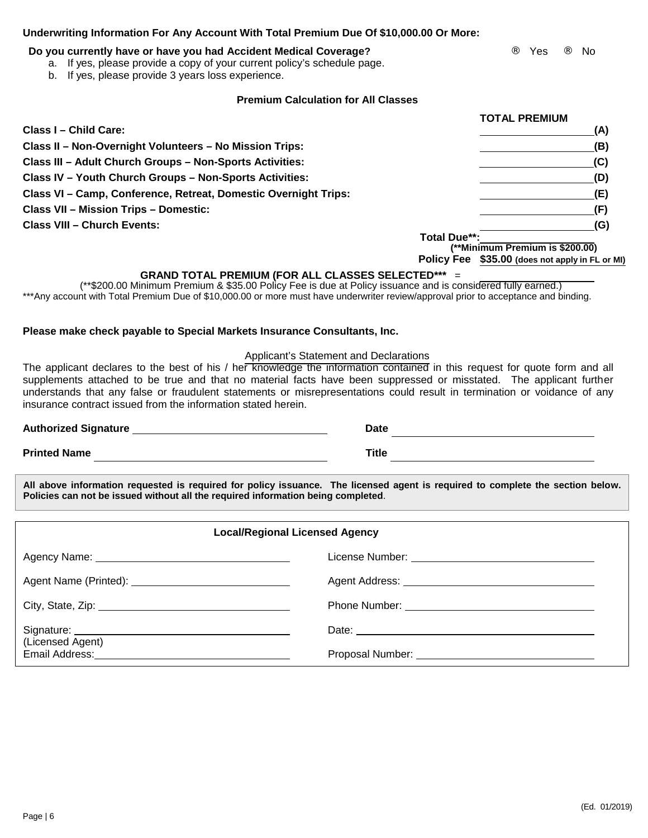| Underwriting Information For Any Account With Total Premium Due Of \$10,000.00 Or More: |  |  |
|-----------------------------------------------------------------------------------------|--|--|
|                                                                                         |  |  |

## **Do you currently have or have you had Accident Medical Coverage? We say a straight a very set of the Vies** The Vies in No

- a. If yes, please provide a copy of your current policy's schedule page.
- b. If yes, please provide 3 years loss experience.

## **Premium Calculation for All Classes**

|                                                                 |                     | TUTAL FREMIUM                                   |
|-----------------------------------------------------------------|---------------------|-------------------------------------------------|
| Class I - Child Care:                                           |                     | (A)                                             |
| Class II - Non-Overnight Volunteers - No Mission Trips:         |                     | (B)                                             |
| Class III - Adult Church Groups - Non-Sports Activities:        |                     | (C)                                             |
| Class IV - Youth Church Groups - Non-Sports Activities:         |                     | (D)                                             |
| Class VI - Camp, Conference, Retreat, Domestic Overnight Trips: |                     | (E)                                             |
| <b>Class VII - Mission Trips - Domestic:</b>                    |                     | (F)                                             |
| <b>Class VIII - Church Events:</b>                              |                     | (G)                                             |
|                                                                 | <b>Total Due**:</b> | (**Minimum Premium is \$200.00)                 |
|                                                                 |                     | Policy Fee \$35.00 (does not apply in FL or MI) |

#### **GRAND TOTAL PREMIUM (FOR ALL CLASSES SELECTED\*\*\*** =

(\*\*\$200.00 Minimum Premium & \$35.00 Policy Fee is due at Policy issuance and is considered fully earned.) \*\*\*Any account with Total Premium Due of \$10,000.00 or more must have underwriter review/approval prior to acceptance and binding.

## **Please make check payable to Special Markets Insurance Consultants, Inc.**

### Applicant's Statement and Declarations

The applicant declares to the best of his / her knowledge the information contained in this request for quote form and all supplements attached to be true and that no material facts have been suppressed or misstated. The applicant further understands that any false or fraudulent statements or misrepresentations could result in termination or voidance of any insurance contract issued from the information stated herein.

Page | 6

**All above information requested is required for policy issuance. The licensed agent is required to complete the section below. Policies can not be issued without all the required information being completed**.

| <b>Local/Regional Licensed Agency</b>                                                                                                                                                                                          |  |  |  |  |  |
|--------------------------------------------------------------------------------------------------------------------------------------------------------------------------------------------------------------------------------|--|--|--|--|--|
|                                                                                                                                                                                                                                |  |  |  |  |  |
|                                                                                                                                                                                                                                |  |  |  |  |  |
|                                                                                                                                                                                                                                |  |  |  |  |  |
| (Licensed Agent)                                                                                                                                                                                                               |  |  |  |  |  |
| Email Address: No. 1996. The Contract of the Contract of the Contract of the Contract of the Contract of the Contract of the Contract of the Contract of the Contract of the Contract of the Contract of the Contract of the C |  |  |  |  |  |

Authorized Signature **Date Date Date Date Date Date Date Date Date Date Date Date Date Date Date Date Date Date Date Date Date Date Date Date Date Date Date D Printed Name Contract Contract Contract Contract Contract Contract Contract Contract Contract Contract Contract Contract Contract Contract Contract Contract Contract Contract Contract Contract Contract Contract Contract** 

**TOTAL PREMIUM**